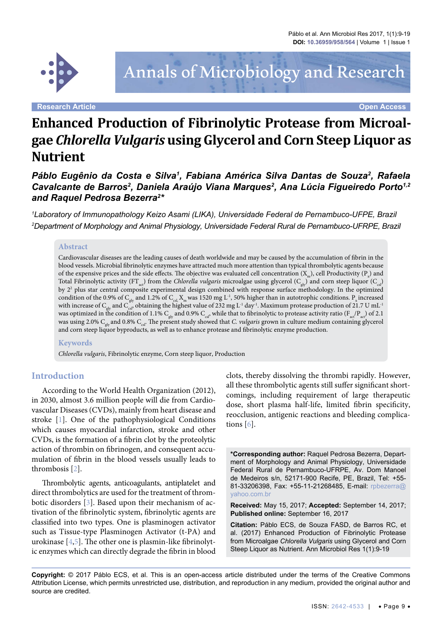

# Annals of Microbiology and Research

**Research Article Open Access**

# **Enhanced Production of Fibrinolytic Protease from Microalgae** *Chlorella Vulgaris* **using Glycerol and Corn Steep Liquor as Nutrient**

Páblo Eugênio da Costa e Silva<sup>1</sup>, Fabiana América Silva Dantas de Souza<sup>2</sup>, Rafaela Cavalcante de Barros<sup>2</sup>, Daniela Araújo Viana Marques<sup>2</sup>, Ana Lúcia Figueiredo Porto<sup>1,2</sup> *and Raquel Pedrosa Bezerra2 \**

*1 Laboratory of Immunopathology Keizo Asami (LIKA), Universidade Federal de Pernambuco-UFPE, Brazil 2 Department of Morphology and Animal Physiology, Universidade Federal Rural de Pernambuco-UFRPE, Brazil*

#### **Abstract**

Cardiovascular diseases are the leading causes of death worldwide and may be caused by the accumulation of fibrin in the blood vessels. Microbial fibrinolytic enzymes have attracted much more attention than typical thrombolytic agents because of the expensive prices and the side effects. The objective was evaluated cell concentration (X<sub>m</sub>), cell Productivity (P<sub>x</sub>) and Total Fibrinolytic activity  $(FT_{ar})$  from the *Chlorella vulgaris* microalgae using glycerol  $(C_{ul})$  and corn steep liquor  $(C_{cl})$ by 22 plus star central composite experimental design combined with response surface methodology. In the optimized condition of the 0.9% of  $C_{\text{glv}}$  and 1.2% of  $C_{\text{csl}} X_{\text{m}}$  was 1520 mg L<sup>-1</sup>, 50% higher than in autotrophic conditions. P<sub>x</sub> increased with increase of C<sub>ely</sub> and C<sub>esl</sub>, obtaining the highest value of 232 mg L<sup>-1</sup> day<sup>-1</sup>. Maximum protease production of 21.7 U mL<sup>-1</sup> was optimized in the condition of 1.1% C<sub>gly</sub> and 0.9% C<sub>csl</sub>, while that to fibrinolytic to protease activity ratio (F<sub>act</sub>/P<sub>act</sub>) of 2.1 was using 2.0% C<sub>she</sub> and 0.8% C<sub>st</sub>. The present study showed that *C. vulgaris* grown in culture medium containing glycerol and corn steep liquor byproducts, as well as to enhance protease and fibrinolytic enzyme production.

#### **Keywords**

*Chlorella vulgaris*, Fibrinolytic enzyme, Corn steep liquor, Production

### **Introduction**

According to the World Health Organization (2012), in 2030, almost 3.6 million people will die from Cardiovascular Diseases (CVDs), mainly from heart disease and stroke [[1\]](#page-9-0). One of the pathophysiological Conditions which causes myocardial infarction, stroke and other CVDs, is the formation of a fibrin clot by the proteolytic action of thrombin on fibrinogen, and consequent accumulation of fibrin in the blood vessels usually leads to thrombosis [[2](#page-9-1)].

Thrombolytic agents, anticoagulants, antiplatelet and direct thrombolytics are used for the treatment of thrombotic disorders [\[3](#page-9-2)]. Based upon their mechanism of activation of the fibrinolytic system, fibrinolytic agents are classified into two types. One is plasminogen activator such as Tissue-type Plasminogen Activator (t-PA) and urokinase [\[4,](#page-9-3)[5](#page-9-4)]. The other one is plasmin-like fibrinolytic enzymes which can directly degrade the fibrin in blood clots, thereby dissolving the thrombi rapidly. However, all these thrombolytic agents still suffer significant shortcomings, including requirement of large therapeutic dose, short plasma half-life, limited fibrin specificity, reocclusion, antigenic reactions and bleeding complications [[6](#page-9-5)].

**\*Corresponding author:** Raquel Pedrosa Bezerra, Department of Morphology and Animal Physiology, Universidade Federal Rural de Pernambuco-UFRPE, Av. Dom Manoel de Medeiros s/n, 52171-900 Recife, PE, Brazil, Tel: +55- 81-33206398, Fax: +55-11-21268485, E-mail: [rpbezerra@](mailto:rpbezerra@yahoo.com.br) [yahoo.com.br](mailto:rpbezerra@yahoo.com.br)

**Received:** May 15, 2017; **Accepted:** September 14, 2017; **Published online:** September 16, 2017

**Citation:** Páblo ECS, de Souza FASD, de Barros RC, et al. (2017) Enhanced Production of Fibrinolytic Protease from Microalgae *Chlorella Vulgaris* using Glycerol and Corn Steep Liquor as Nutrient. Ann Microbiol Res 1(1):9-19

**Copyright:** © 2017 Páblo ECS, et al. This is an open-access article distributed under the terms of the Creative Commons Attribution License, which permits unrestricted use, distribution, and reproduction in any medium, provided the original author and source are credited.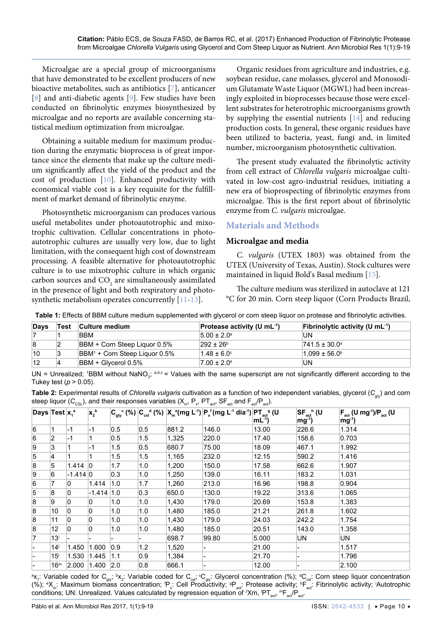Microalgae are a special group of microorganisms that have demonstrated to be excellent producers of new bioactive metabolites, such as antibiotics [[7](#page-9-6)], anticancer [\[8\]](#page-9-7) and anti-diabetic agents [\[9\]](#page-9-8). Few studies have been conducted on fibrinolytic enzymes biosynthesized by microalgae and no reports are available concerning statistical medium optimization from microalgae.

Obtaining a suitable medium for maximum production during the enzymatic bioprocess is of great importance since the elements that make up the culture medium significantly affect the yield of the product and the cost of production [[10](#page-9-9)]. Enhanced productivity with economical viable cost is a key requisite for the fulfillment of market demand of fibrinolytic enzyme.

Photosynthetic microorganism can produces various useful metabolites under photoautotrophic and mixotrophic cultivation. Cellular concentrations in photoautotrophic cultures are usually very low, due to light limitation, with the consequent high cost of downstream processing. A feasible alternative for photoautotrophic culture is to use mixotrophic culture in which organic carbon sources and  $CO<sub>2</sub>$  are simultaneously assimilated in the presence of light and both respiratory and photosynthetic metabolism operates concurrently [[11-](#page-9-10)[13\]](#page-9-11).

Organic residues from agriculture and industries, e.g. soybean residue, cane molasses, glycerol and Monosodium Glutamate Waste Liquor (MGWL) had been increasingly exploited in bioprocesses because those were excellent substrates for heterotrophic microorganisms growth by supplying the essential nutrients [\[14](#page-9-12)] and reducing production costs. In general, these organic residues have been utilized to bacteria, yeast, fungi and, in limited number, microorganism photosynthetic cultivation.

The present study evaluated the fibrinolytic activity from cell extract of *Chlorella vulgaris* microalgae cultivated in low-cost agro-industrial residues, initiating a new era of bioprospecting of fibrinolytic enzymes from microalgae. This is the first report about of fibrinolytic enzyme from *C. vulgaris* microalgae.

### **Materials and Methods**

#### **Microalgae and media**

*C. vulgaris* (UTEX 1803) was obtained from the UTEX (University of Texas, Austin). Stock cultures were maintained in liquid Bold's Basal medium [[15](#page-9-13)].

The culture medium was sterilized in autoclave at 121 °C for 20 min. Corn steep liquor (Corn Products Brazil,

| Days | Test | ∣Culture medium                   | <b>Protease activity (U mL-1)</b> | Fibrinolytic activity (U mL $-1$ ) |
|------|------|-----------------------------------|-----------------------------------|------------------------------------|
|      |      | <b>BBM</b>                        | $5.00 \pm 2.0^{\circ}$            | UN                                 |
| 8    |      | BBM + Corn Steep Liquor 0.5%      | $292 \pm 26^{\circ}$              | $741.5 \pm 30.0^{\circ}$           |
| 10   |      | $ BBM^1 +$ Corn Steep Liquor 0.5% | $1.48 \pm 6.0^{\circ}$            | $1.099 \pm 56.0^{\circ}$           |
| 12   |      | BBM + Glycerol 0.5%               | $7.00 \pm 2.0^{\circ}$            | UN                                 |

<span id="page-1-0"></span>**Table 1:** Effects of BBM culture medium supplemented with glycerol or corn steep liquor on protease and fibrinolytic activities.

UN = Unrealized; 1BBM without NaNO<sub>3</sub>; a,b,c = Values with the same superscript are not significantly different according to the Tukey test  $(p > 0.05)$ .

<span id="page-1-1"></span>

| Table 2: Experimental results of Chlorella vulgaris cultivation as a function of two independent variables, glycerol $(C_{\text{obs}})$ and corn                                    |  |
|-------------------------------------------------------------------------------------------------------------------------------------------------------------------------------------|--|
| steep liquor ( $C_{\text{CSL}}$ ), and their responses variables ( $X_{\text{m}}$ , $P_{\text{x}}$ , $PT_{\text{act}}$ , SF <sub>act</sub> , and $F_{\text{act}}/P_{\text{act}}$ ). |  |

| Days Test $x_i$ <sup>a</sup> |                   |                | $X_2^{\ b}$    |         |     |       | $ C_{\text{div}}^{\text{C}}(\%) C_{\text{cs}}^{\text{Cd}}(\%) X_{\text{m}}^{\text{e}}(\text{mg } L^{-1}) P_{\text{x}}^{\text{f}}(\text{mg } L^{-1} \text{ dia }^{\text{-1}}) PT_{\text{act}}^{\text{g}}(\text{U}) $ | $mL^{-1}$ ) | $SF_{act}$ <sup>h</sup> (U<br>$mg^{-1}$ ) | $F_{\text{act}}$ (U mg <sup>-1</sup> )/P <sub>act</sub> (U |
|------------------------------|-------------------|----------------|----------------|---------|-----|-------|---------------------------------------------------------------------------------------------------------------------------------------------------------------------------------------------------------------------|-------------|-------------------------------------------|------------------------------------------------------------|
| 6                            | 1                 | $-1$           | $-1$           | $0.5\,$ | 0.5 | 881.2 | 146.0                                                                                                                                                                                                               | 13.00       | 226.6                                     | $mg^{-1}$<br>1.314                                         |
| 6                            | $\overline{2}$    | $-1$           |                | 0.5     | 1.5 | 1,325 | 220.0                                                                                                                                                                                                               | 17.40       | 158.6                                     | 0.703                                                      |
| 9                            | 3                 |                | -1             | 1.5     | 0.5 | 680.7 | 75.00                                                                                                                                                                                                               | 18.09       | 467.1                                     | 1.992                                                      |
| 5                            | 4                 |                |                | 1.5     | 1.5 | 1,165 | 232.0                                                                                                                                                                                                               | 12.15       | 590.2                                     | 1.416                                                      |
| 8                            | 5                 | 1.414          | 0              | 1.7     | 1.0 | 1,200 | 150.0                                                                                                                                                                                                               | 17.58       | 662.6                                     | 1.907                                                      |
| 9                            | 6                 | $-1.414 0$     |                | 0.3     | 1.0 | 1,250 | 139.0                                                                                                                                                                                                               | 16.11       | 183.2                                     | 1.031                                                      |
| 6                            | 7                 | 0              | 1.414          | 1.0     | 1.7 | 1,260 | 213.0                                                                                                                                                                                                               | 16.96       | 198.8                                     | 0.904                                                      |
| 5                            | 8                 | $\Omega$       | $-1.414$   1.0 |         | 0.3 | 650.0 | 130.0                                                                                                                                                                                                               | 19.22       | 313.6                                     | 1.065                                                      |
| 8                            | 9                 | $\overline{0}$ | 0              | 1.0     | 1.0 | 1,430 | 179.0                                                                                                                                                                                                               | 20.69       | 153.8                                     | 1.383                                                      |
| 8                            | 10                | $\overline{0}$ | $\Omega$       | 1.0     | 1.0 | 1,480 | 185.0                                                                                                                                                                                                               | 21.21       | 261.8                                     | 1.602                                                      |
| 8                            | 11                | $\overline{0}$ | 0              | 1.0     | 1.0 | 1,430 | 179.0                                                                                                                                                                                                               | 24.03       | 242.2                                     | 1.754                                                      |
| 8                            | 12                | 0              | 0              | 1.0     | 1.0 | 1,480 | 185.0                                                                                                                                                                                                               | 20.51       | 143.0                                     | 1.358                                                      |
| 7                            | 13 <sup>i</sup>   |                |                |         |     | 698.7 | 99.80                                                                                                                                                                                                               | 5.000       | UN                                        | <b>UN</b>                                                  |
|                              | $14^{\mathrm{i}}$ | 1.450          | 1.600          | 0.9     | 1.2 | 1,520 |                                                                                                                                                                                                                     | 21.00       |                                           | 1.517                                                      |
|                              | 15 <sup>1</sup>   | 1.530          | 1.445          | 1.1     | 0.9 | 1,384 |                                                                                                                                                                                                                     | 21.70       |                                           | 1.796                                                      |
|                              | 16 <sup>m</sup>   | 2.000          | 1.400          | 2.0     | 0.8 | 666.1 |                                                                                                                                                                                                                     | 12.00       |                                           | 2.100                                                      |

ax<sub>1</sub>: Variable coded for C<sub>gly</sub>, bx<sub>2</sub>: Variable coded for C<sub>csl</sub>; C<sub>gly</sub>: Glycerol concentration (%); <sup>a</sup>C<sub>csl</sub>: Corn steep liquor concentration (%); °X<sub>m</sub>: Maximum biomăss concentration; <sup>r</sup>P<sub>x</sub>: Cell Productivity; ºP<sub>act</sub>: Protease activity; <sup>n</sup>F<sub>act</sub>: Fibrinolytic activity; <sup>i</sup>Autotrophic conditions; UN: Unrealized. Values calculated by regression equation of  ${}^{\text{\tiny{J}}}\mathsf{X}$ m,  ${}^{\text{\tiny{I}}} \mathsf{P}^-_{\text{\tiny{I}}}$ <sub>act</sub>,  ${}^{\text{\tiny{m}}} \mathsf{F}_{\text{\tiny{acl}}} / \mathsf{P}_{\text{\tiny{acl}}}$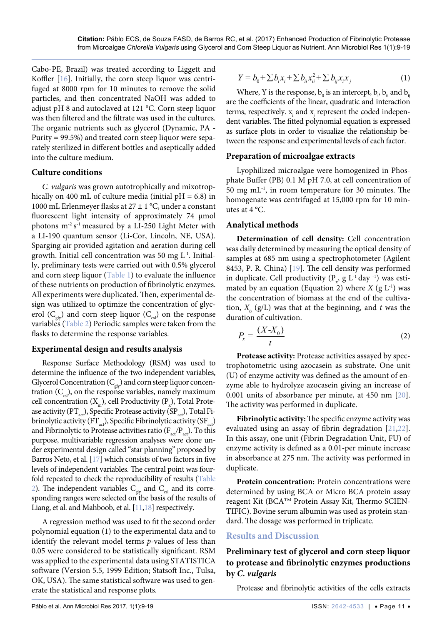Cabo-PE, Brazil) was treated according to Liggett and Koffler [[16](#page-9-18)]. Initially, the corn steep liquor was centrifuged at 8000 rpm for 10 minutes to remove the solid particles, and then concentrated NaOH was added to adjust pH 8 and autoclaved at 121 °C. Corn steep liquor was then filtered and the filtrate was used in the cultures. The organic nutrients such as glycerol (Dynamic, PA - Purity = 99.5%) and treated corn steep liquor were separately sterilized in different bottles and aseptically added into the culture medium.

#### **Culture conditions**

*C. vulgaris* was grown autotrophically and mixotrophically on 400 mL of culture media (initial  $pH = 6.8$ ) in 1000 mL Erlenmeyer flasks at 27 ± 1 °C, under a constant fluorescent light intensity of approximately 74  $\mu$ mol photons  $m^{-2} s^{-1}$  measured by a LI-250 Light Meter with a LI-190 quantum sensor (Li-Cor, Lincoln, NE, USA). Sparging air provided agitation and aeration during cell growth. Initial cell concentration was 50 mg  $L^{-1}$ . Initially, preliminary tests were carried out with 0.5% glycerol and corn steep liquor ([Table 1](#page-1-0)) to evaluate the influence of these nutrients on production of fibrinolytic enzymes. All experiments were duplicated. Then, experimental design was utilized to optimize the concentration of glycerol ( $C_{\text{glv}}$ ) and corn steep liquor ( $C_{\text{csl}}$ ) on the response variables [\(Table 2\)](#page-1-1) Periodic samples were taken from the flasks to determine the response variables.

### **Experimental design and results analysis**

Response Surface Methodology (RSM) was used to determine the influence of the two independent variables, Glycerol Concentration  $(C_{\text{glv}})$  and corn steep liquor concentration  $(C_{\text{cs}})$ , on the response variables, namely maximum cell concentration (X<sub>m</sub>), cell Productivity (P<sub>x</sub>), Total Protease activity ( $PT_{act}$ ), Specific Protease activity ( $SP_{act}$ ), Total Fibrinolytic activity ( $FT_{act}$ ), Specific Fibrinolytic activity ( $SF_{act}$ ) and Fibrinolytic to Protease activities ratio (F<sub>act</sub>/P<sub>act</sub>). To this purpose, multivariable regression analyses were done under experimental design called "star planning" proposed by Barros Neto, et al. [\[17](#page-9-19)] which consists of two factors in five levels of independent variables. The central point was fourfold repeated to check the reproducibility of results [\(Table](#page-1-1)  [2\)](#page-1-1). The independent variables  $C_{\text{glv}}$  and  $C_{\text{csl}}$  and its corresponding ranges were selected on the basis of the results of Liang, et al. and Mahboob, et al. [\[11](#page-9-10)[,18](#page-9-20)] respectively.

A regression method was used to fit the second order polynomial equation [\(1\)](http://www.sciencedirect.com/science/article/pii/S0924013605001275#eq1) to the experimental data and to identify the relevant model terms *p*-values of less than 0.05 were considered to be statistically significant. RSM was applied to the experimental data using STATISTICA software (Version 5.5, 1999 Edition; Statsoft Inc., Tulsa, OK, USA). The same statistical software was used to generate the statistical and response plots.

$$
Y = b_0 + \sum b_i x_i + \sum b_{ii} x_{ii}^2 + \sum b_{ij} x_i x_j \tag{1}
$$

Where, Y is the response,  $b_0$  is an intercept,  $b_i$ ,  $b_{ii}$  and  $b_{ij}$ are the coefficients of the linear, quadratic and interaction terms, respectively.  $x_i$  and  $x_j$  represent the coded independent variables. The fitted polynomial equation is expressed as surface plots in order to visualize the relationship between the response and experimental levels of each factor.

### **Preparation of microalgae extracts**

Lyophilized microalgae were homogenized in Phosphate Buffer (PB) 0.1 M pH 7.0, at cell concentration of 50 mg mL-1, in room temperature for 30 minutes. The homogenate was centrifuged at 15,000 rpm for 10 minutes at 4 °C.

## **Analytical methods**

**Determination of cell density:** Cell concentration was daily determined by measuring the optical density of samples at 685 nm using a spectrophotometer (Agilent 8453, P. R. China) [[19](#page-9-14)]. The cell density was performed in duplicate. Cell productivity  $(P_x, g L^{-1} \, \text{day}^{-1})$  was estimated by an equation (Equation 2) where  $X$  (g  $L^{-1}$ ) was the concentration of biomass at the end of the cultivation,  $X_0$  (g/L) was that at the beginning, and  $t$  was the duration of cultivation.

$$
P_x = \frac{(X - X_0)}{t} \tag{2}
$$

**Protease activity:** Protease activities assayed by spectrophotometric using azocasein as substrate. One unit (U) of enzyme activity was defined as the amount of enzyme able to hydrolyze azocasein giving an increase of 0.001 units of absorbance per minute, at 450 nm [[20](#page-9-15)]. The activity was performed in duplicate.

**Fibrinolytic activity:**The specific enzyme activity was evaluated using an assay of fibrin degradation [[21](#page-9-16),[22](#page-9-17)]. In this assay, one unit (Fibrin Degradation Unit, FU) of enzyme activity is defined as a 0.01-per minute increase in absorbance at 275 nm. The activity was performed in duplicate.

**Protein concentration:** Protein concentrations were determined by using BCA or Micro BCA protein assay reagent Kit (BCATM Protein Assay Kit, Thermo SCIEN-TIFIC). Bovine serum albumin was used as protein standard. The dosage was performed in triplicate.

### **Results and Discussion**

# **Preliminary test of glycerol and corn steep liquor to protease and fibrinolytic enzymes productions by** *C. vulgaris*

Protease and fibrinolytic activities of the cells extracts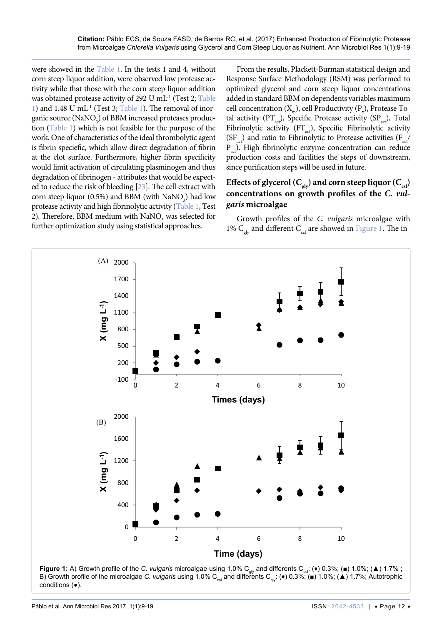were showed in the [Table 1](#page-1-0). In the tests 1 and 4, without corn steep liquor addition, were observed low protease activity while that those with the corn steep liquor addition was obtained protease activity of 292 U mL<sup>-1</sup> (Test 2; Table [1\)](#page-1-0) and 1.48 U mL<sup>-1</sup> (Test 3; [Table 1\)](#page-1-0). The removal of inorganic source  $\rm (NaNO_{_3})$  of BBM increased proteases production [\(Table 1](#page-1-0)) which is not feasible for the purpose of the work. One of characteristics of the ideal thrombolytic agent is fibrin speciefic, which allow direct degradation of fibrin at the clot surface. Furthermore, higher fibrin specificity would limit activation of circulating plasminogen and thus degradation of fibrinogen - attributes that would be expected to reduce the risk of bleeding [[23\]](#page-9-21). The cell extract with corn steep liquor (0.5%) and BBM (with  $\text{NaNO}_3$ ) had low protease activity and high fibrinolytic activity [\(Table 1,](#page-1-0) Test 2). Therefore, BBM medium with  $\text{NaNO}_3$  was selected for further optimization study using statistical approaches.

From the results, Plackett-Burman statistical design and Response Surface Methodology (RSM) was performed to optimized glycerol and corn steep liquor concentrations added in standard BBM on dependents variables maximum cell concentration  $(X_m)$ , cell Productivity  $(P_x)$ , Protease Total activity (PT<sub>ac</sub>), Specific Protease activity (SP<sub>ac</sub>), Total Fibrinolytic activity (FT<sub>act</sub>), Specific Fibrinolytic activity  $(SF<sub>act</sub>)$  and ratio to Fibrinolytic to Protease activities  $(F<sub>act</sub>/F<sub>act</sub>)$  $P_{\text{act}}$ ). High fibrinolytic enzyme concentration can reduce production costs and facilities the steps of downstream, since purification steps will be used in future.

# Effects of glycerol (C<sub>gly</sub>) and corn steep liquor (C<sub>csl</sub>) **concentrations on growth profiles of the** *C. vulgaris* **microalgae**

Growth profiles of the *C. vulgaris* microalgae with 1%  $C_{\text{olv}}$  and different  $C_{\text{col}}$  are showed in [Figure 1.](#page-3-0) The in-

<span id="page-3-0"></span>

conditions (●).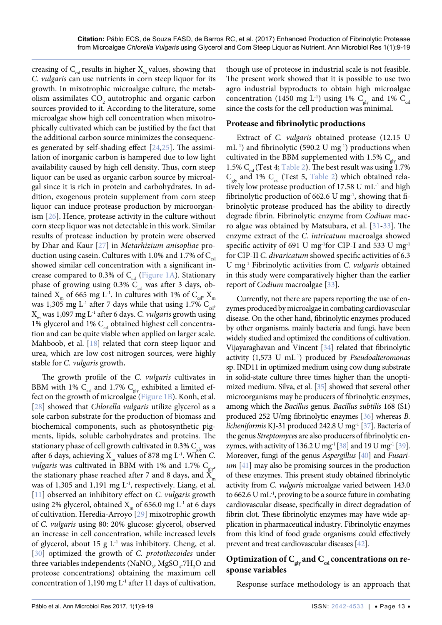creasing of  $C_{\text{csl}}$  results in higher  $X_{\text{m}}$  values, showing that *C. vulgaris* can use nutrients in corn steep liquor for its growth. In mixotrophic microalgae culture, the metabolism assimilates  $\text{CO}_2$  autotrophic and organic carbon sources provided to it. According to the literature, some microalgae show high cell concentration when mixotrophically cultivated which can be justified by the fact that the additional carbon source minimizes the consequences generated by self-shading effect [[24](#page-9-25),[25](#page-9-26)]. The assimilation of inorganic carbon is hampered due to low light availability caused by high cell density. Thus, corn steep liquor can be used as organic carbon source by microalgal since it is rich in protein and carbohydrates. In addition, exogenous protein supplement from corn steep liquor can induce protease production by microorganism [\[26\]](#page-9-27). Hence, protease activity in the culture without corn steep liquor was not detectable in this work. Similar results of protease induction by protein were observed by Dhar and Kaur [\[27](#page-9-28)] in *Metarhizium anisopliae* production using casein. Cultures with 1.0% and 1.7% of  $C_{\text{est}}$ showed similar cell concentration with a significant increase compared to 0.3% of  $C_{\text{csl}}$  ([Figure 1A\)](#page-3-0). Stationary phase of growing using 0.3%  $C_{\text{csl}}$  was after 3 days, obtained  $X_m$  of 665 mg L<sup>-1</sup>. In cultures with 1% of  $C_{csl}$ ,  $X_m$ was 1,305 mg L<sup>-1</sup> after 7 days while that using 1.7% C<sub>csl</sub>, Xm was 1,097 mg L-1 after 6 days. *C. vulgaris* growth using 1% glycerol and 1%  $C_{\text{csl}}$  obtained highest cell concentration and can be quite viable when applied on larger scale. Mahboob, et al. [[18](#page-9-20)] related that corn steep liquor and urea, which are low cost nitrogen sources, were highly stable for *C. vulgaris* growth**.**

The growth profile of the *C. vulgaris* cultivates in BBM with 1%  $C_{\text{csl}}$  and 1.7%  $C_{\text{glv}}$  exhibited a limited effect on the growth of microalgae ([Figure 1B](#page-3-0)). Konh, et al. [\[28\]](#page-9-29) showed that *Chlorella vulgaris* utilize glycerol as a sole carbon substrate for the production of biomass and biochemical components, such as photosynthetic pigments, lipids, soluble carbohydrates and proteins. The stationary phase of cell growth cultivated in 0.3%  $C_{\text{glv}}$  was after 6 days, achieving  $X_m$  values of 878 mg L<sup>-1</sup>. When *C*. *vulgaris* was cultivated in BBM with 1% and 1.7%  $C_{g}$ the stationary phase reached after 7 and 8 days, and  $\tilde{X}_m$ was of 1,305 and 1,191 mg L<sup>-1</sup>, respectively. Liang, et al. [\[11\]](#page-9-10) observed an inhibitory effect on *C. vulgaris* growth using 2% glycerol, obtained  $X<sub>m</sub>$  of 656.0 mg L<sup>-1</sup> at 6 days of cultivation. Heredia-Arroyo [\[29\]](#page-9-30) mixotrophic growth of *C. vulgaris* using 80: 20% glucose: glycerol, observed an increase in cell concentration, while increased levels of glycerol, about 15 g  $L^{-1}$  was inhibitory. Cheng, et al. [\[30\]](#page-9-31) optimized the growth of *C. protothecoides* under three variables independents (NaNO<sub>3</sub>, MgSO<sub>4</sub>.7H<sub>2</sub>O and proteose concentrations) obtaining the maximum cell concentration of 1,190 mg  $L^{-1}$  after 11 days of cultivation,

though use of proteose in industrial scale is not feasible. The present work showed that it is possible to use two agro industrial byproducts to obtain high microalgae concentration (1450 mg L<sup>-1</sup>) using 1% C<sub>elv</sub> and 1% C<sub>csl</sub> since the costs for the cell production was minimal.

#### **Protease and fibrinolytic productions**

Extract of *C. vulgaris* obtained protease (12.15 U  $mL^{-1}$ ) and fibrinolytic (590.2 U mg<sup>-1</sup>) productions when cultivated in the BBM supplemented with 1.5%  $C_{\text{glv}}$  and 1.5%  $C_{\text{col}}$  (Test 4; [Table 2](#page-1-1)). The best result was using 1.7%  $C_{\text{glv}}$  and 1%  $C_{\text{csl}}$  (Test 5, [Table 2](#page-1-1)) which obtained relatively low protease production of 17.58 U mL<sup>-1</sup> and high fibrinolytic production of 662.6 U mg $^{-1}$ , showing that fibrinolytic protease produced has the ability to directly degrade fibrin. Fibrinolytic enzyme from *Codium* macro algae was obtained by Matsubara, et al. [[31](#page-9-22)[-33\]](#page-9-23). The enzyme extract of the *C. intricatum* macroalga showed specific activity of 691 U mg<sup>-1</sup>for CIP-I and 533 U mg<sup>-1</sup> for CIP-II *C. divaricatum* showed specific activities of 6.3 U mg-1 Fibrinolytic activities from *C. vulgaris* obtained in this study were comparatively higher than the earlier report of *Codium* macroalgae [[33](#page-9-23)].

Currently, not there are papers reporting the use of enzymes produced by microalgae in combating cardiovascular disease. On the other hand, fibrinolytic enzymes produced by other organisms, mainly bacteria and fungi, have been widely studied and optimized the conditions of cultivation. Vijayaraghavan and Vincent [[34\]](#page-9-24) related that fibrinolytic activity (1,573 U mL-1) produced by *Pseudoalteromonas*  sp. IND11 in optimized medium using cow dung substrate in solid-state culture three times higher than the unoptimized medium. Silva, et al. [\[35\]](#page-10-0) showed that several other microorganisms may be producers of fibrinolytic enzymes, among which the *Bacillus* genus. *Bacillus subtilis* 168 (S1) produced 252 U/mg fibrinolytic enzymes [\[36](#page-10-1)] whereas *B. licheniformis* KJ-31 produced 242.8 U mg-1 [[37\]](#page-10-2). Bacteria of the genus *Streptomyces* are also producers of fibrinolytic en-zymes, with activity of 136.2 U mg<sup>-1</sup> [[38\]](#page-10-3) and 19 U mg<sup>-1</sup> [[39\]](#page-10-4). Moreover, fungi of the genus *Aspergillus* [\[40](#page-10-5)] and *Fusarium* [\[41\]](#page-10-6) may also be promising sources in the production of these enzymes. This present study obtained fibrinolytic activity from *C. vulgaris* microalgae varied between 143.0 to 662.6 U mL-1, proving to be a source future in combating cardiovascular disease, specifically in direct degradation of fibrin clot. These fibrinolytic enzymes may have wide application in pharmaceutical industry. Fibrinolytic enzymes from this kind of food grade organisms could effectively prevent and treat cardiovascular diseases [\[42](#page-10-7)].

# Optimization of C<sub>gly</sub> and C<sub>csl</sub> concentrations on re**sponse variables**

Response surface methodology is an approach that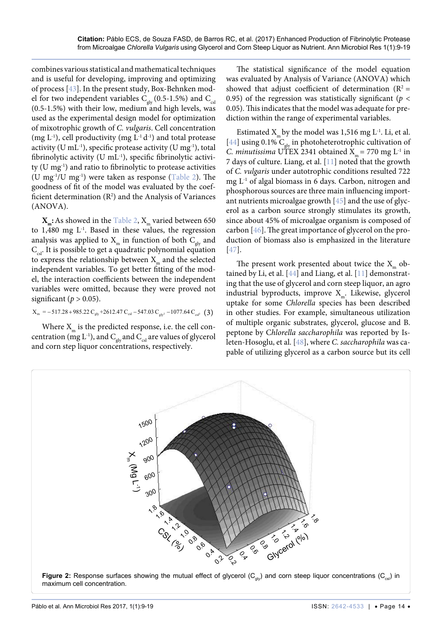combines various statistical and mathematical techniques and is useful for developing, improving and optimizing of process [\[43](#page-10-13)]. In the present study, Box-Behnken model for two independent variables  $C_{\text{gly}}$  (0.5-1.5%) and  $C_{\text{csl}}$ (0.5-1.5%) with their low, medium and high levels, was used as the experimental design model for optimization of mixotrophic growth of *C. vulgaris*. Cell concentration (mg  $L^{-1}$ ), cell productivity (mg  $L^{-1} d^{-1}$ ) and total protease activity (U mL<sup>-1</sup>), specific protease activity (U mg<sup>-1</sup>), total fibrinolytic activity (U mL<sup>-1</sup>), specific fibrinolytic activity (U mg-1) and ratio to fibrinolytic to protease activities (U mg<sup>-1</sup>/U mg<sup>-1</sup>) were taken as response ([Table 2](#page-1-1)). The goodness of fit of the model was evaluated by the coefficient determination  $(R^2)$  and the Analysis of Variances (ANOVA).

 $\mathbf{X}_{\text{m}}$ : As showed in the [Table 2](#page-1-1),  $\mathbf{X}_{\text{m}}$  varied between 650 to  $1,480$  mg  $L^{-1}$ . Based in these values, the regression analysis was applied to  $X_m$  in function of both  $C_{\text{glv}}$  and  $C_{\text{csl}}$ . It is possible to get a quadratic polynomial equation to express the relationship between  $X_m$  and the selected independent variables. To get better fitting of the model, the interaction coefficients between the independent variables were omitted, because they were proved not significant ( $p > 0.05$ ).

$$
X_{\rm m} = -517.28 + 985.22 \, C_{\rm gly} + 2612.47 \, C_{\rm csl} - 547.03 \, C_{\rm gly^2} - 1077.64 \, C_{\rm csl}^2 \tag{3}
$$

Where  $X_m$  is the predicted response, i.e. the cell concentration ( $mg L^{-1}$ ), and  $C_{gly}$  and  $C_{csl}$  are values of glycerol and corn step liquor concentrations, respectively.

The statistical significance of the model equation was evaluated by Analysis of Variance (ANOVA) which showed that adjust coefficient of determination ( $R^2$  = 0.95) of the regression was statistically significant ( $p <$ 0.05). This indicates that the model was adequate for prediction within the range of experimental variables.

Estimated  $X_m$  by the model was 1,516 mg L<sup>-1</sup>. Li, et al. [[44](#page-10-8)] using 0.1%  $C_{\text{obs}}$  in photoheterotrophic cultivation of *C. minutissima* UTEX 2341 obtained  $X_m = 770$  mg L<sup>-1</sup> in 7 days of culture. Liang, et al. [[11](#page-9-10)] noted that the growth of *C. vulgaris* under autotrophic conditions resulted 722 mg L-1 of algal biomass in 6 days. Carbon, nitrogen and phosphorous sources are three main influencing important nutrients microalgae growth [[45\]](#page-10-9) and the use of glycerol as a carbon source strongly stimulates its growth, since about 45% of microalgae organism is composed of carbon [\[46\]](#page-10-10). The great importance of glycerol on the production of biomass also is emphasized in the literature [[47](#page-10-11)].

The present work presented about twice the  $X_{m}$  obtained by Li, et al. [[44](#page-10-8)] and Liang, et al. [\[11\]](#page-9-10) demonstrating that the use of glycerol and corn steep liquor, an agro industrial byproducts, improve  $X_{m}$ . Likewise, glycerol uptake for some *Chlorella* species has been described in other studies. For example, simultaneous utilization of multiple organic substrates, glycerol, glucose and B. peptone by C*hlorella saccharophila* was reported by Isleten-Hosoglu, et al. [[48](#page-10-12)], where *C. saccharophila* was capable of utilizing glycerol as a carbon source but its cell

<span id="page-5-0"></span>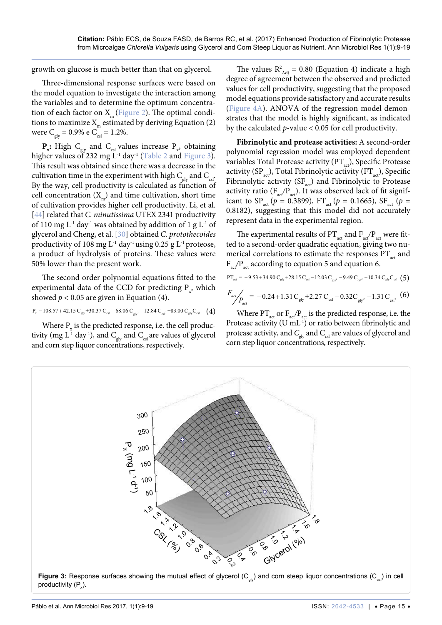growth on glucose is much better than that on glycerol.

Three-dimensional response surfaces were based on the model equation to investigate the interaction among the variables and to determine the optimum concentration of each factor on  $X_m$  [\(Figure 2\)](#page-5-0). The optimal conditions to maximize  $X<sub>m</sub>$  estimated by deriving Equation (2) were  $C_{\text{glv}} = 0.9\%$  e  $C_{\text{csl}} = 1.2\%.$ 

 $\mathbf{P}_{\mathbf{x}}$ : High C<sub>gly</sub> and C<sub>csl</sub> values increase  $P_{\mathbf{x}}$ , obtaining higher values of 232 mg  $L^1$  day<sup>1</sup> ([Table 2](#page-1-1) and [Figure 3](#page-6-0)). This result was obtained since there was a decrease in the cultivation time in the experiment with high  $C_{\text{glv}}$  and  $C_{\text{csl}}$ . By the way, cell productivity is calculated as function of cell concentration  $(X_m)$  and time cultivation, short time of cultivation provides higher cell productivity. Li, et al. [\[44\]](#page-10-8) related that *C. minutissima* UTEX 2341 productivity of 110 mg  $L^{-1}$  day<sup>-1</sup> was obtained by addition of 1 g  $L^{-1}$  of glycerol and Cheng, et al. [[30](#page-9-31)] obtained *C. protothecoides* productivity of 108 mg  $L^{-1}$  day<sup>-1</sup> using 0.25 g  $L^{-1}$  proteose, a product of hydrolysis of proteins. These values were 50% lower than the present work.

The second order polynomial equations fitted to the experimental data of the CCD for predicting  $P_{x}$ , which showed  $p < 0.05$  are given in Equation (4).

$$
P_x = 108.57 + 42.15 C_{gly} + 30.37 C_{csl} - 68.06 C_{gly^2} - 12.84 C_{csl^2} + 83.00 C_{glyC_{csl}} \tag{4}
$$

Where  $P_{\rm x}$  is the predicted response, i.e. the cell productivity (mg  $L^{1}$  day<sup>-1</sup>), and  $C_{\text{glv}}$  and  $C_{\text{cs}}$  are values of glycerol and corn step liquor concentrations, respectively.

The values  $R^2_{\text{Adj}} = 0.80$  (Equation 4) indicate a high degree of agreement between the observed and predicted values for cell productivity, suggesting that the proposed model equations provide satisfactory and accurate results ([Figure 4A\)](#page-7-0). ANOVA of the regression model demonstrates that the model is highly significant, as indicated by the calculated *p*-value < 0.05 for cell productivity.

**Fibrinolytic and protease activities:** A second-order polynomial regression model was employed dependent variables Total Protease activity  $(PT_{act})$ , Specific Protease activity (SP<sub>act</sub>), Total Fibrinolytic activity (FT<sub>act</sub>), Specific Fibrinolytic activity ( $SF_{\text{act}}$ ) and Fibrinolytic to Protease activity ratio  $(F_{\text{act}}/P_{\text{act}})$ . It was observed lack of fit significant to SP<sub>act</sub> ( $p = 0.3899$ ), FT<sub>act</sub> ( $p = 0.1665$ ), SF<sub>act</sub> ( $p =$ 0.8182), suggesting that this model did not accurately represent data in the experimental region.

The experimental results of  $PT_{act}$  and  $F_{act}/P_{act}$  were fitted to a second-order quadratic equation, giving two numerical correlations to estimate the responses  $PT_{\text{act}}$  and F<sub>act</sub><sup>/P</sup><sub>act</sub> according to equation 5 and equation 6.

$$
PT_{act} = -9.53 + 34.90 C_{gly} + 28.15 C_{cst} - 12.03 C_{gy^2} - 9.49 C_{cst} + 10.34 C_{gly} C_{cst} (5)
$$
  

$$
F_{act} / P_{act} = -0.24 + 1.31 C_{gly} + 2.27 C_{cst} - 0.32 C_{gly^2} - 1.31 C_{csl} (6)
$$

Where  $PT_{\text{act}}$  or  $F_{\text{act}}/P_{\text{act}}$  is the predicted response, i.e. the Protease activity (U mL<sup>-1</sup>) or ratio between fibrinolytic and protease activity, and  $C_{\text{gly}}$  and  $C_{\text{cls}}$  are values of glycerol and corn step liquor concentrations, respectively.

<span id="page-6-0"></span>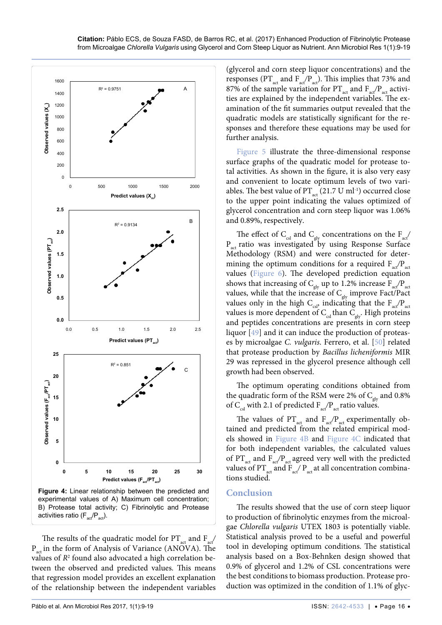<span id="page-7-0"></span>

The results of the quadratic model for  $PT_{\text{act}}$  and  $F_{\text{act}}$  $P_{\text{act}}$  in the form of Analysis of Variance (ANOVA). The values of  $R^2$  found also advocated a high correlation between the observed and predicted values. This means that regression model provides an excellent explanation of the relationship between the independent variables

(glycerol and corn steep liquor concentrations) and the responses ( $PT_{\text{act}}$  and  $F_{\text{act}}/P_{\text{act}}$ ). This implies that 73% and 87% of the sample variation for  $PT_{\text{act}}$  and  $F_{\text{act}}/P_{\text{act}}$  activities are explained by the independent variables. The examination of the fit summaries output revealed that the quadratic models are statistically significant for the responses and therefore these equations may be used for further analysis.

[Figure 5](#page-8-0) illustrate the three-dimensional response surface graphs of the quadratic model for protease total activities. As shown in the figure, it is also very easy and convenient to locate optimum levels of two variables. The best value of PT<sub>act</sub> (21.7 U ml<sup>-1</sup>) occurred close to the upper point indicating the values optimized of glycerol concentration and corn steep liquor was 1.06% and 0.89%, respectively.

The effect of  $C_{\text{csl}}$  and  $C_{\text{gly}}$  concentrations on the  $F_{\text{act}}/$  $P_{\text{act}}$  ratio was investigated by using Response Surface Methodology (RSM) and were constructed for determining the optimum conditions for a required  $F_{\text{ref}}/P_{\text{act}}$ values ([Figure 6\)](#page-8-1). The developed prediction equation shows that increasing of  $C_{\text{glv}}$  up to 1.2% increase  $F_{\text{act}}/P_{\text{act}}$ values, while that the increase of  $C<sub>glv</sub>$  improve Fact/Pact values only in the high C<sub>cs</sub>, indicating that the  $F_{\text{act}}/P_{\text{act}}$ values is more dependent of  $C_{\text{csl}}$  than  $C_{\text{gly}}$ . High proteins and peptides concentrations are presents in corn steep liquor [\[49\]](#page-10-14) and it can induce the production of proteases by microalgae *C. vulgaris*. Ferrero, et al. [[50](#page-10-15)] related that protease production by *Bacillus licheniformis* MIR 29 was repressed in the glycerol presence although cell growth had been observed.

The optimum operating conditions obtained from the quadratic form of the RSM were 2% of  $C_{\text{glv}}$  and 0.8% of C<sub>csl</sub> with 2.1 of predicted  $F_{\text{act}}/P_{\text{act}}$  ratio values.

The values of  $PT_{act}$  and  $F_{act}/P_{act}$  experimentally obtained and predicted from the related empirical models showed in [Figure 4B](#page-7-0) and [Figure 4C](#page-7-0)  indicated that for both independent variables, the calculated values of PT<sub>act</sub> and F<sub>act</sub>/P<sub>act</sub> agreed very well with the predicted values of  $PT_{\text{act}}$  and  $F_{\text{act}}/P_{\text{act}}$  at all concentration combinations studied.

### **Conclusion**

The results showed that the use of corn steep liquor to production of fibrinolytic enzymes from the microalgae *Chlorella vulgaris* UTEX 1803 is potentially viable. Statistical analysis proved to be a useful and powerful tool in developing optimum conditions. The statistical analysis based on a Box-Behnken design showed that 0.9% of glycerol and 1.2% of CSL concentrations were the best conditions to biomass production. Protease production was optimized in the condition of 1.1% of glyc-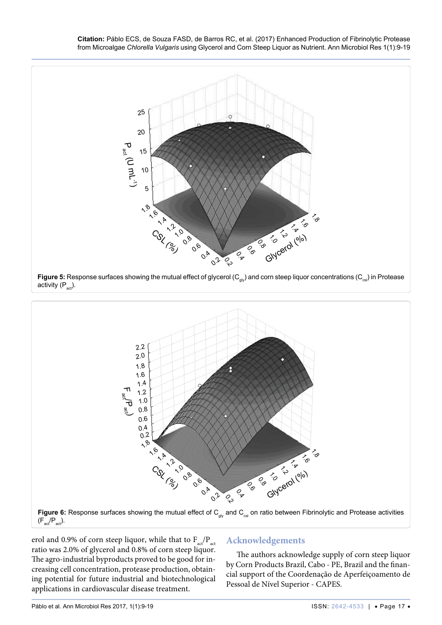**Citation:** Páblo ECS, de Souza FASD, de Barros RC, et al. (2017) Enhanced Production of Fibrinolytic Protease from Microalgae *Chlorella Vulgaris* using Glycerol and Corn Steep Liquor as Nutrient. Ann Microbiol Res 1(1):9-19

<span id="page-8-0"></span>



<span id="page-8-1"></span>

 $(F_{act}/P_{act})$ .

erol and 0.9% of corn steep liquor, while that to  $F_{\text{act}}/P_{\text{act}}$ ratio was 2.0% of glycerol and 0.8% of corn steep liquor. The agro-industrial byproducts proved to be good for increasing cell concentration, protease production, obtaining potential for future industrial and biotechnological applications in cardiovascular disease treatment.

# **Acknowledgements**

The authors acknowledge supply of corn steep liquor by Corn Products Brazil, Cabo - PE, Brazil and the financial support of the Coordenação de Aperfeiçoamento de Pessoal de Nível Superior - CAPES.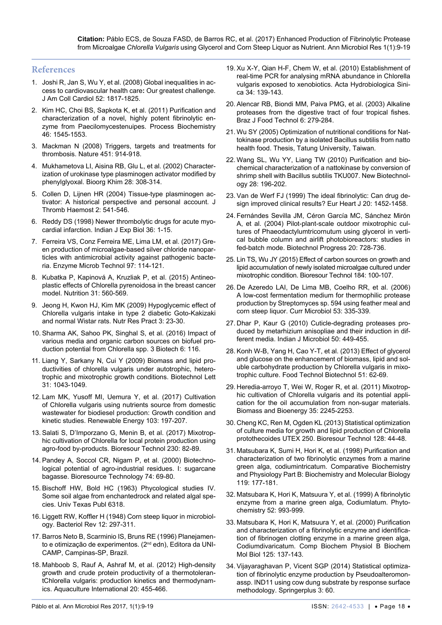#### **References**

- <span id="page-9-0"></span>1. [Joshi R, Jan S, Wu Y, et al. \(2008\) Global inequalities in ac](https://www.ncbi.nlm.nih.gov/pubmed/19038678)[cess to cardiovascular health care](https://www.ncbi.nlm.nih.gov/pubmed/19038678)**:** Our greatest challenge. [J Am Coll Cardiol 52: 1817-1825.](https://www.ncbi.nlm.nih.gov/pubmed/19038678)
- <span id="page-9-1"></span>2. [Kim HC, Choi BS, Sapkota K, et al. \(2011\) Purification and](http://www.sciencedirect.com/science/article/pii/S1359511311001358)  [characterization of a novel, highly potent fibrinolytic en](http://www.sciencedirect.com/science/article/pii/S1359511311001358)[zyme from Paecilomycestenuipes. Process Biochemistry](http://www.sciencedirect.com/science/article/pii/S1359511311001358)  [46: 1545-1553.](http://www.sciencedirect.com/science/article/pii/S1359511311001358)
- <span id="page-9-2"></span>3. [Mackman N \(2008\) Triggers, targets and treatments for](https://www.ncbi.nlm.nih.gov/pubmed/18288180)  [thrombosis. Nature 451: 914-918.](https://www.ncbi.nlm.nih.gov/pubmed/18288180)
- <span id="page-9-3"></span>4. [Mukhametova LI, Aisina RB, Glu L, et al. \(2002\) Character](https://www.ncbi.nlm.nih.gov/pubmed/12197387)[ization of urokinase type plasminogen activator modified by](https://www.ncbi.nlm.nih.gov/pubmed/12197387)  [phenylglyoxal. Bioorg Khim 28: 308-314.](https://www.ncbi.nlm.nih.gov/pubmed/12197387)
- <span id="page-9-4"></span>5. [Collen D, Lijnen HR \(2004\) Tissue-type plasminogen ac](https://www.ncbi.nlm.nih.gov/pubmed/15102005)[tivator: A historical perspective and personal account. J](https://www.ncbi.nlm.nih.gov/pubmed/15102005)  [Thromb Haemost 2: 541-546.](https://www.ncbi.nlm.nih.gov/pubmed/15102005)
- <span id="page-9-5"></span>6. [Reddy DS \(1998\) Newer thrombolytic drugs for acute myo](https://www.ncbi.nlm.nih.gov/pubmed/9536645)[cardial infarction. Indian J Exp Biol 36: 1-15.](https://www.ncbi.nlm.nih.gov/pubmed/9536645)
- <span id="page-9-6"></span>7. [Ferreira VS, Conz Ferreira ME, Lima LM, et al. \(2017\) Gre](https://www.ncbi.nlm.nih.gov/pubmed/28010768)[en production of microalgae-based silver chloride nanopar](https://www.ncbi.nlm.nih.gov/pubmed/28010768)[ticles with antimicrobial activity against pathogenic bacte](https://www.ncbi.nlm.nih.gov/pubmed/28010768)[ria. Enzyme Microb Technol 97: 114-121.](https://www.ncbi.nlm.nih.gov/pubmed/28010768)
- <span id="page-9-7"></span>8. [Kubatka P, Kapinová A, Kruzliak P, et al. \(2015\) Antineo](https://www.ncbi.nlm.nih.gov/pubmed/25770318)[plastic effects of Chlorella pyrenoidosa in the breast cancer](https://www.ncbi.nlm.nih.gov/pubmed/25770318)  [model. Nutrition 31: 560-569.](https://www.ncbi.nlm.nih.gov/pubmed/25770318)
- <span id="page-9-8"></span>9. [Jeong H, Kwon HJ, Kim MK \(2009\) Hypoglycemic effect of](https://www.ncbi.nlm.nih.gov/pmc/articles/PMC2788164/)  [Chlorella vulgaris intake in type 2 diabetic Goto-Kakizaki](https://www.ncbi.nlm.nih.gov/pmc/articles/PMC2788164/)  [and normal Wistar rats. Nutr Res Pract 3: 23-30.](https://www.ncbi.nlm.nih.gov/pmc/articles/PMC2788164/)
- <span id="page-9-9"></span>10. [Sharma AK, Sahoo PK, Singhal S, et al. \(2016\) Impact of](https://www.ncbi.nlm.nih.gov/pubmed/28330202)  [various media and organic carbon sources on biofuel pro](https://www.ncbi.nlm.nih.gov/pubmed/28330202)[duction potential from Chlorella spp. 3 Biotech 6: 116.](https://www.ncbi.nlm.nih.gov/pubmed/28330202)
- <span id="page-9-10"></span>11. [Liang Y, Sarkany N, Cui Y \(2009\) Biomass and lipid pro](https://www.ncbi.nlm.nih.gov/pubmed/19322523)[ductivities of chlorella vulgaris under autotrophic, hetero](https://www.ncbi.nlm.nih.gov/pubmed/19322523)[trophic and mixotrophic growth conditions. Biotechnol Lett](https://www.ncbi.nlm.nih.gov/pubmed/19322523)  [31: 1043-1049.](https://www.ncbi.nlm.nih.gov/pubmed/19322523)
- 12. [Lam MK, Yusoff MI, Uemura Y, et al. \(2017\) Cultivation](http://www.sciencedirect.com/science/article/pii/S0960148116310011)  [of Chlorella vulgaris using nutrients source from domestic](http://www.sciencedirect.com/science/article/pii/S0960148116310011)  [wastewater for biodiesel production: Growth condition and](http://www.sciencedirect.com/science/article/pii/S0960148116310011)  [kinetic studies. Renewable Energy 103: 197-207.](http://www.sciencedirect.com/science/article/pii/S0960148116310011)
- <span id="page-9-11"></span>13. [Salati S, D'Imporzano G, Menin B, et al. \(2017\) Mixotrop](https://www.ncbi.nlm.nih.gov/pubmed/28161624)[hic cultivation of Chlorella for local protein production using](https://www.ncbi.nlm.nih.gov/pubmed/28161624)  [agro-food by-products. Bioresour Technol 230: 82-89.](https://www.ncbi.nlm.nih.gov/pubmed/28161624)
- <span id="page-9-12"></span>14. [Pandey A, Soccol CR, Nigam P, et al. \(2000\) Biotechno](http://www.sciencedirect.com/science/article/pii/S096085249900142X)[logical potential of agro-industrial residues. I: sugarcane](http://www.sciencedirect.com/science/article/pii/S096085249900142X)  [bagasse. Bioresource Technology 74: 69-80.](http://www.sciencedirect.com/science/article/pii/S096085249900142X)
- <span id="page-9-13"></span>15. [Bischoff HW, Bold HC \(1963\) Phycological studies IV.](http://www.worldcat.org/title/some-soil-algae-from-enchanted-rock-and-related-algal-species/oclc/2163203)  [Some soil algae from enchantedrock and related algal spe](http://www.worldcat.org/title/some-soil-algae-from-enchanted-rock-and-related-algal-species/oclc/2163203)[cies. Univ Texas Publ 6318.](http://www.worldcat.org/title/some-soil-algae-from-enchanted-rock-and-related-algal-species/oclc/2163203)
- <span id="page-9-18"></span>16. [Liggett RW, Koffler H \(1948\) Corn steep liquor in microbiol](https://www.ncbi.nlm.nih.gov/pmc/articles/PMC180696/)[ogy. Bacteriol Rev 12: 297-311.](https://www.ncbi.nlm.nih.gov/pmc/articles/PMC180696/)
- <span id="page-9-19"></span>17. Barros Neto B, Scarminio IS, Bruns RE (1996) Planejamento e otimização de experimentos. (2<sup>nd</sup> edn), Editora da UNI-CAMP, Campinas-SP, Brazil.
- <span id="page-9-20"></span>18. [Mahboob S, Rauf A, Ashraf M, et al. \(2012\) High-density](https://link.springer.com/article/10.1007%2Fs10499-011-9477-1)  [growth and crude protein productivity of a thermotoleran](https://link.springer.com/article/10.1007%2Fs10499-011-9477-1)[tChlorella vulgaris: production kinetics and thermodynam](https://link.springer.com/article/10.1007%2Fs10499-011-9477-1)[ics. Aquaculture International 20: 455-466.](https://link.springer.com/article/10.1007%2Fs10499-011-9477-1)
- <span id="page-9-14"></span>19. [Xu X-Y, Qian H-F, Chem W, et al. \(2010\) Establishment of](http://pub.chinasciencejournal.com/ActaHydrobiologicaSinica/9803.jhtml)  [real-time PCR for analysing mRNA abundance in Chlorella](http://pub.chinasciencejournal.com/ActaHydrobiologicaSinica/9803.jhtml)  [vulgaris exposed to xenobiotics. Acta Hydrobiologica Sini](http://pub.chinasciencejournal.com/ActaHydrobiologicaSinica/9803.jhtml)[ca 34: 139-143.](http://pub.chinasciencejournal.com/ActaHydrobiologicaSinica/9803.jhtml)
- <span id="page-9-15"></span>20. [Alencar RB, Biondi MM, Paiva PMG, et al. \(2003\) Alkaline](http://www.ital.sp.gov.br/bj/artigos/brazilianjournal/free/p03142.pdf)  [proteases from the digestive tract of four tropical fishes.](http://www.ital.sp.gov.br/bj/artigos/brazilianjournal/free/p03142.pdf)  [Braz J Food Technol 6: 279-284.](http://www.ital.sp.gov.br/bj/artigos/brazilianjournal/free/p03142.pdf)
- <span id="page-9-16"></span>21. Wu SY (2005) Optimization of nutritional conditions for Nattokinase production by a isolated Bacillus subtilis from natto health food. Thesis, Tatung University, Taiwan.
- <span id="page-9-17"></span>22. [Wang SL, Wu YY, Liang TW \(2010\) Purification and bio](http://europepmc.org/abstract/med/20849993)[chemical characterization of a nattokinase by conversion of](http://europepmc.org/abstract/med/20849993)  [shrimp shell with Bacillus subtilis TKU007. New Biotechnol](http://europepmc.org/abstract/med/20849993)[ogy 28: 196-202.](http://europepmc.org/abstract/med/20849993)
- <span id="page-9-21"></span>23. [Van de Werf FJ \(1999\) The ideal fibrinolytic: Can drug de](https://www.ncbi.nlm.nih.gov/pubmed/10493843)[sign improved clinical results? Eur Heart J 20: 1452-1458.](https://www.ncbi.nlm.nih.gov/pubmed/10493843)
- <span id="page-9-25"></span>24. [Fernándes Sevilla JM, Céron García MC, Sánchez Mirón](http://onlinelibrary.wiley.com/doi/10.1021/bp034344f/abstract)  [A, et al. \(2004\) Pilot-plant-scale outdoor mixotrophic cul](http://onlinelibrary.wiley.com/doi/10.1021/bp034344f/abstract)[tures of Phaeodactylumtricornutum using glycerol in verti](http://onlinelibrary.wiley.com/doi/10.1021/bp034344f/abstract)[cal bubble column and airlift photobioreactors: studies in](http://onlinelibrary.wiley.com/doi/10.1021/bp034344f/abstract)  [fed-batch mode. Biotechnol Progress 20: 728-736.](http://onlinelibrary.wiley.com/doi/10.1021/bp034344f/abstract)
- <span id="page-9-26"></span>25. [Lin TS, Wu JY \(2015\) Effect of carbon sources on growth and](https://www.ncbi.nlm.nih.gov/pubmed/25443671)  [lipid accumulation of newly isolated microalgae cultured under](https://www.ncbi.nlm.nih.gov/pubmed/25443671)  [mixotrophic condition. Bioresour Technol 184: 100-107.](https://www.ncbi.nlm.nih.gov/pubmed/25443671)
- <span id="page-9-27"></span>26. [De Azeredo LAI, De Lima MB, Coelho RR, et al. \(2006\)](https://www.ncbi.nlm.nih.gov/pubmed/16972130)  [A low-cost fermentation medium for thermophilic protease](https://www.ncbi.nlm.nih.gov/pubmed/16972130)  [production by Streptomyces sp. 594 using feather meal and](https://www.ncbi.nlm.nih.gov/pubmed/16972130)  [corn steep liquor. Curr Microbiol 53: 335-339.](https://www.ncbi.nlm.nih.gov/pubmed/16972130)
- <span id="page-9-28"></span>27. [Dhar P, Kaur G \(2010\) Cuticle-degrading proteases pro](https://www.ncbi.nlm.nih.gov/pmc/articles/PMC3209842/)duced by metarhizium anisopliae [and their induction in dif](https://www.ncbi.nlm.nih.gov/pmc/articles/PMC3209842/)[ferent media. Indian J Microbiol 50: 449-455.](https://www.ncbi.nlm.nih.gov/pmc/articles/PMC3209842/)
- <span id="page-9-29"></span>28. [Konh W-B, Yang H, Cao Y-T, et al. \(2013\) Effect of glycerol](http://www.ftb.com.hr/images/pdfarticles/2013/Vol.51_No.1/ftb_51-1_062-069.pdf)  [and glucose on the enhancement of biomass, lipid and sol](http://www.ftb.com.hr/images/pdfarticles/2013/Vol.51_No.1/ftb_51-1_062-069.pdf)[uble carbohydrate production by Chlorella vulgaris in mixo](http://www.ftb.com.hr/images/pdfarticles/2013/Vol.51_No.1/ftb_51-1_062-069.pdf)[trophic culture. Food Technol Biotechnol 51: 62-69.](http://www.ftb.com.hr/images/pdfarticles/2013/Vol.51_No.1/ftb_51-1_062-069.pdf)
- <span id="page-9-30"></span>29. [Heredia-arroyo T, Wei W, Roger R, et al. \(2011\) Mixotrop](http://www.sciencedirect.com/science/article/pii/S0961953411001115)[hic cultivation of Chlorella vulgaris and its potential appli](http://www.sciencedirect.com/science/article/pii/S0961953411001115)[cation for the oil accumulation from non-sugar materials.](http://www.sciencedirect.com/science/article/pii/S0961953411001115)  [Biomass and Bioenergy 35: 2245-2253.](http://www.sciencedirect.com/science/article/pii/S0961953411001115)
- <span id="page-9-31"></span>30. [Cheng KC, Ren M, Ogden KL \(2013\) Statistical optimization](https://www.ncbi.nlm.nih.gov/pubmed/23196220)  [of culture media for growth and lipid production of Chlorella](https://www.ncbi.nlm.nih.gov/pubmed/23196220)  [protothecoides UTEX 250. Bioresour Technol 128: 44-48.](https://www.ncbi.nlm.nih.gov/pubmed/23196220)
- <span id="page-9-22"></span>31. [Matsubara K, Sumi H, Hori K, et al. \(1998\) Purification and](http://www.sciencedirect.com/science/article/pii/S0305049197003039)  [characterization of two fibrinolytic enzymes from a marine](http://www.sciencedirect.com/science/article/pii/S0305049197003039)  [green alga, codiumintricatum. Comparative Biochemistry](http://www.sciencedirect.com/science/article/pii/S0305049197003039)  [and Physiology Part B: Biochemistry and Molecular Biology](http://www.sciencedirect.com/science/article/pii/S0305049197003039) [119: 177-181.](http://www.sciencedirect.com/science/article/pii/S0305049197003039)
- 32. [Matsubara K, Hori K, Matsuura Y, et al. \(1999\) A fibrinolytic](https://www.ncbi.nlm.nih.gov/pubmed/10643667)  [enzyme from a marine green alga, Codiumlatum. Phyto](https://www.ncbi.nlm.nih.gov/pubmed/10643667)[chemistry 52: 993-999.](https://www.ncbi.nlm.nih.gov/pubmed/10643667)
- <span id="page-9-23"></span>33. [Matsubara K, Hori K, Matsuura Y, et al. \(2000\) Purification](https://www.ncbi.nlm.nih.gov/pubmed/10840649)  [and characterization of a fibrinolytic enzyme and identifica](https://www.ncbi.nlm.nih.gov/pubmed/10840649)[tion of fibrinogen clotting enzyme in a marine green alga,](https://www.ncbi.nlm.nih.gov/pubmed/10840649)  [Codiumdivaricatum. Comp Biochem Physiol B Biochem](https://www.ncbi.nlm.nih.gov/pubmed/10840649)  [Mol Biol 125: 137-143.](https://www.ncbi.nlm.nih.gov/pubmed/10840649)
- <span id="page-9-24"></span>34. [Vijayaraghavan P, Vicent SGP \(2014\) Statistical optimiza](https://www.ncbi.nlm.nih.gov/pmc/articles/PMC3915052/)[tion of fibrinolytic enzyme production by](https://www.ncbi.nlm.nih.gov/pmc/articles/PMC3915052/) Pseudoalteromon[assp. IND11 using cow dung substrate by response surface](https://www.ncbi.nlm.nih.gov/pmc/articles/PMC3915052/)  [methodology. Springerplus 3: 60.](https://www.ncbi.nlm.nih.gov/pmc/articles/PMC3915052/)